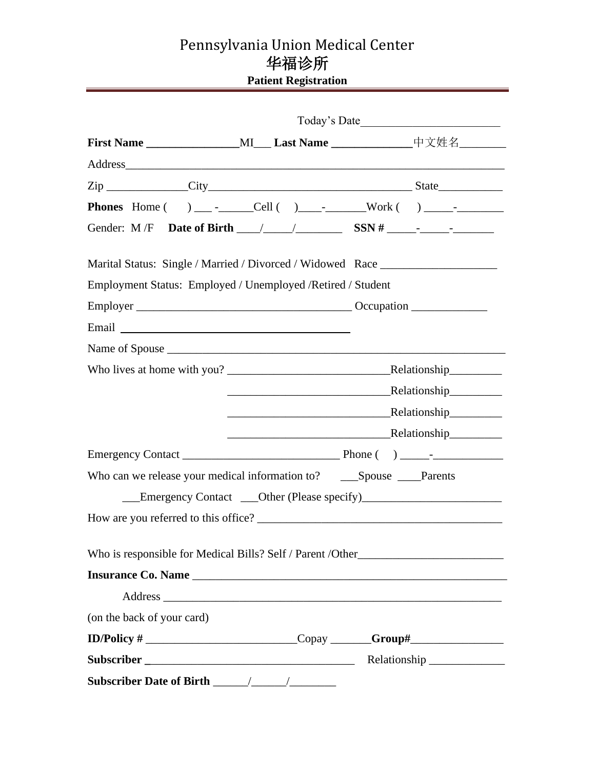# Pennsylvania Union Medical Center 华福诊所 **Patient Registration**

|                                                                                                                                                                                                                                      |  | First Name ____________________MI____ Last Name __________________中文姓名__________ |
|--------------------------------------------------------------------------------------------------------------------------------------------------------------------------------------------------------------------------------------|--|----------------------------------------------------------------------------------|
|                                                                                                                                                                                                                                      |  |                                                                                  |
|                                                                                                                                                                                                                                      |  |                                                                                  |
|                                                                                                                                                                                                                                      |  |                                                                                  |
|                                                                                                                                                                                                                                      |  |                                                                                  |
|                                                                                                                                                                                                                                      |  | Marital Status: Single / Married / Divorced / Widowed Race _____________________ |
| Employment Status: Employed / Unemployed / Retired / Student                                                                                                                                                                         |  |                                                                                  |
|                                                                                                                                                                                                                                      |  |                                                                                  |
| Email <u>and the community of the community of the community of the community of the community of the community of the community of the community of the community of the community of the community of the community of the com</u> |  |                                                                                  |
|                                                                                                                                                                                                                                      |  |                                                                                  |
|                                                                                                                                                                                                                                      |  |                                                                                  |
|                                                                                                                                                                                                                                      |  |                                                                                  |
|                                                                                                                                                                                                                                      |  |                                                                                  |
|                                                                                                                                                                                                                                      |  | Relationship                                                                     |
|                                                                                                                                                                                                                                      |  |                                                                                  |
|                                                                                                                                                                                                                                      |  |                                                                                  |
|                                                                                                                                                                                                                                      |  |                                                                                  |
|                                                                                                                                                                                                                                      |  |                                                                                  |
|                                                                                                                                                                                                                                      |  |                                                                                  |
| Who is responsible for Medical Bills? Self / Parent / Other______________________                                                                                                                                                    |  |                                                                                  |
|                                                                                                                                                                                                                                      |  |                                                                                  |
|                                                                                                                                                                                                                                      |  |                                                                                  |
| (on the back of your card)                                                                                                                                                                                                           |  |                                                                                  |
|                                                                                                                                                                                                                                      |  |                                                                                  |
|                                                                                                                                                                                                                                      |  |                                                                                  |
|                                                                                                                                                                                                                                      |  |                                                                                  |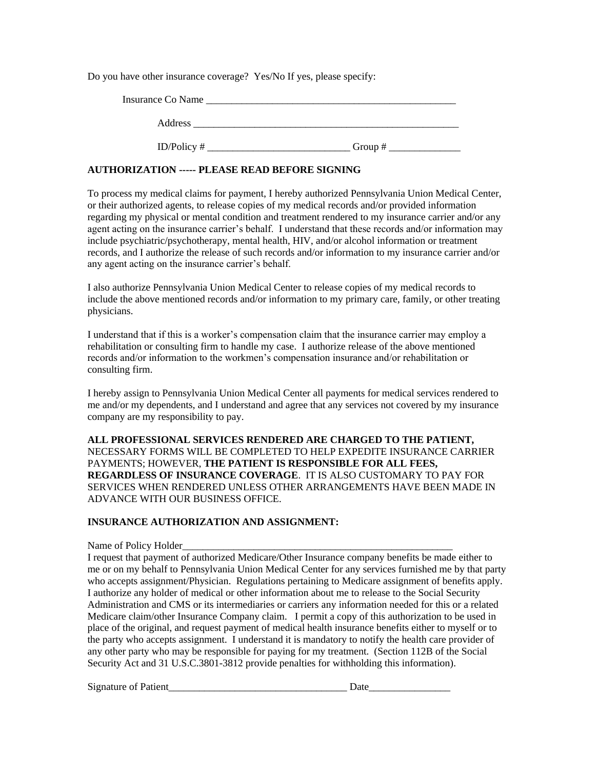Do you have other insurance coverage? Yes/No If yes, please specify:

| Insurance Co Name |           |
|-------------------|-----------|
| Address           |           |
| ID/Policy $#$     | Group $#$ |

#### **AUTHORIZATION ----- PLEASE READ BEFORE SIGNING**

To process my medical claims for payment, I hereby authorized Pennsylvania Union Medical Center, or their authorized agents, to release copies of my medical records and/or provided information regarding my physical or mental condition and treatment rendered to my insurance carrier and/or any agent acting on the insurance carrier's behalf. I understand that these records and/or information may include psychiatric/psychotherapy, mental health, HIV, and/or alcohol information or treatment records, and I authorize the release of such records and/or information to my insurance carrier and/or any agent acting on the insurance carrier's behalf.

I also authorize Pennsylvania Union Medical Center to release copies of my medical records to include the above mentioned records and/or information to my primary care, family, or other treating physicians.

I understand that if this is a worker's compensation claim that the insurance carrier may employ a rehabilitation or consulting firm to handle my case. I authorize release of the above mentioned records and/or information to the workmen's compensation insurance and/or rehabilitation or consulting firm.

I hereby assign to Pennsylvania Union Medical Center all payments for medical services rendered to me and/or my dependents, and I understand and agree that any services not covered by my insurance company are my responsibility to pay.

**ALL PROFESSIONAL SERVICES RENDERED ARE CHARGED TO THE PATIENT,**  NECESSARY FORMS WILL BE COMPLETED TO HELP EXPEDITE INSURANCE CARRIER PAYMENTS; HOWEVER, **THE PATIENT IS RESPONSIBLE FOR ALL FEES, REGARDLESS OF INSURANCE COVERAGE**. IT IS ALSO CUSTOMARY TO PAY FOR SERVICES WHEN RENDERED UNLESS OTHER ARRANGEMENTS HAVE BEEN MADE IN ADVANCE WITH OUR BUSINESS OFFICE.

#### **INSURANCE AUTHORIZATION AND ASSIGNMENT:**

Name of Policy Holder

I request that payment of authorized Medicare/Other Insurance company benefits be made either to me or on my behalf to Pennsylvania Union Medical Center for any services furnished me by that party who accepts assignment/Physician. Regulations pertaining to Medicare assignment of benefits apply. I authorize any holder of medical or other information about me to release to the Social Security Administration and CMS or its intermediaries or carriers any information needed for this or a related Medicare claim/other Insurance Company claim. I permit a copy of this authorization to be used in place of the original, and request payment of medical health insurance benefits either to myself or to the party who accepts assignment. I understand it is mandatory to notify the health care provider of any other party who may be responsible for paying for my treatment. (Section 112B of the Social Security Act and 31 U.S.C.3801-3812 provide penalties for withholding this information).

Signature of Patient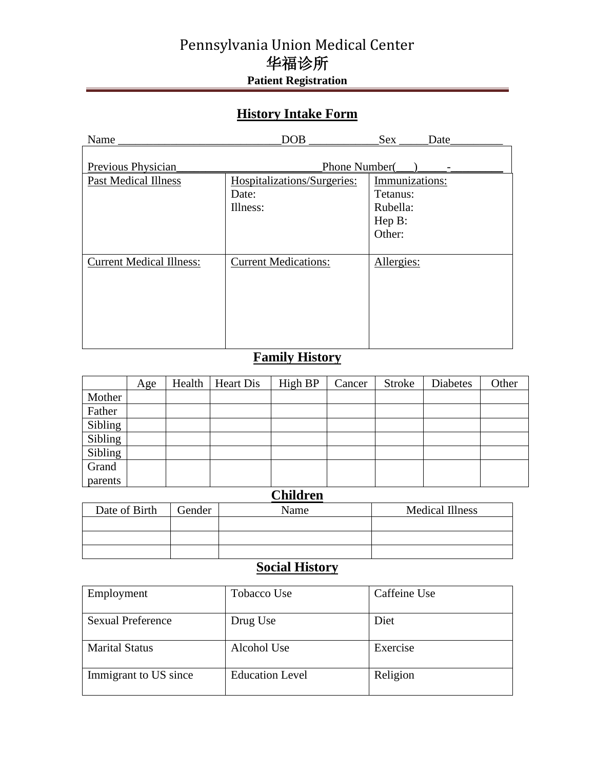# Pennsylvania Union Medical Center 华福诊所 **Patient Registration**

# **History Intake Form**

| Name                            | DOB                         | Sex<br>Date     |
|---------------------------------|-----------------------------|-----------------|
|                                 |                             |                 |
| Previous Physician              | Phone Number(               |                 |
| <b>Past Medical Illness</b>     | Hospitalizations/Surgeries: | Immunizations:  |
|                                 | Date:                       | Tetanus:        |
|                                 | Illness:                    | Rubella:        |
|                                 |                             | $\text{Hep B}:$ |
|                                 |                             | Other:          |
|                                 |                             |                 |
| <b>Current Medical Illness:</b> | <b>Current Medications:</b> | Allergies:      |
|                                 |                             |                 |
|                                 |                             |                 |
|                                 |                             |                 |
|                                 |                             |                 |
|                                 |                             |                 |
|                                 |                             |                 |

# **Family History**

|         | Age | Health | <b>Heart Dis</b> | High BP | Cancer | <b>Stroke</b> | <b>Diabetes</b> | Other |
|---------|-----|--------|------------------|---------|--------|---------------|-----------------|-------|
| Mother  |     |        |                  |         |        |               |                 |       |
| Father  |     |        |                  |         |        |               |                 |       |
| Sibling |     |        |                  |         |        |               |                 |       |
| Sibling |     |        |                  |         |        |               |                 |       |
| Sibling |     |        |                  |         |        |               |                 |       |
| Grand   |     |        |                  |         |        |               |                 |       |
| parents |     |        |                  |         |        |               |                 |       |

### **Children**

| Date of Birth | Gender | Name | <b>Medical Illness</b> |
|---------------|--------|------|------------------------|
|               |        |      |                        |
|               |        |      |                        |
|               |        |      |                        |

### **Social History**

| Employment               | Tobacco Use            | Caffeine Use |
|--------------------------|------------------------|--------------|
| <b>Sexual Preference</b> | Drug Use               | Diet         |
| <b>Marital Status</b>    | Alcohol Use            | Exercise     |
| Immigrant to US since    | <b>Education Level</b> | Religion     |